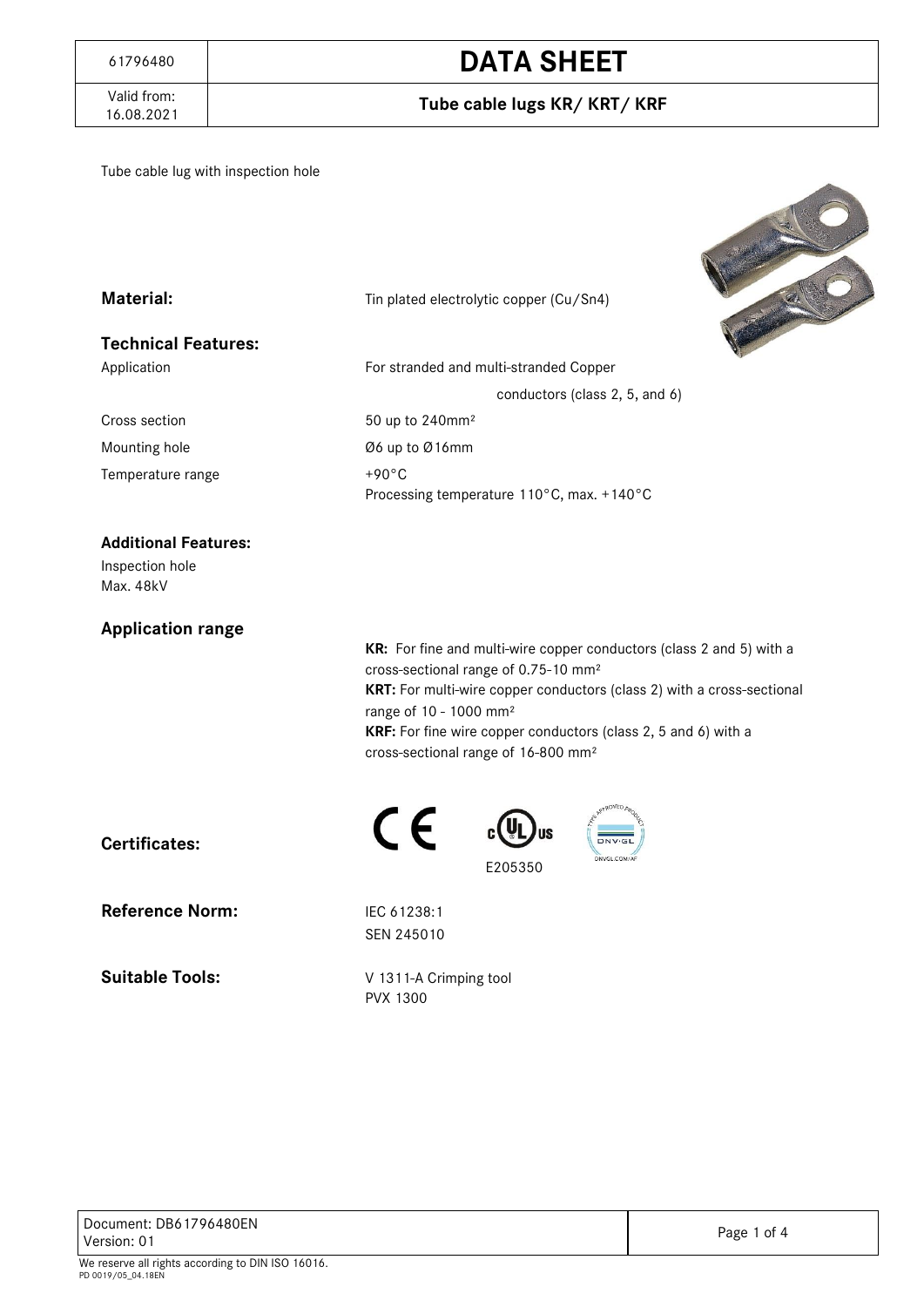#### Tube cable lugs KR/ KRT/ KRF

Tube cable lug with inspection hole



| <b>Material:</b>           | Tin plated electrolytic copper (Cu/Sn4)                                           |  |  |  |  |  |  |  |
|----------------------------|-----------------------------------------------------------------------------------|--|--|--|--|--|--|--|
| <b>Technical Features:</b> |                                                                                   |  |  |  |  |  |  |  |
| Application                | For stranded and multi-stranded Copper                                            |  |  |  |  |  |  |  |
|                            | conductors (class 2, 5, and 6)                                                    |  |  |  |  |  |  |  |
| Cross section              | 50 up to 240mm <sup>2</sup>                                                       |  |  |  |  |  |  |  |
| Mounting hole              | Ø6 up to Ø16mm                                                                    |  |  |  |  |  |  |  |
| Temperature range          | $+90^{\circ}$ C<br>Processing temperature $110^{\circ}$ C, max. +140 $^{\circ}$ C |  |  |  |  |  |  |  |

#### **Additional Features:**

Inspection hole Max. 48kV

#### **Application range**

**KR:** For fine and multi-wire copper conductors (class 2 and 5) with a cross-sectional range of 0.75-10 mm² **KRT:** For multi-wire copper conductors (class 2) with a cross-sectional range of 10 - 1000 mm² **KRF:** For fine wire copper conductors (class 2, 5 and 6) with a cross-sectional range of 16-800 mm²

E205350

**Certificates:**

**Reference Norm:** IEC 61238:1

**Suitable Tools:** V 1311-A Crimping tool

SEN 245010

CE

PVX 1300

PD 0019/05\_04.18EN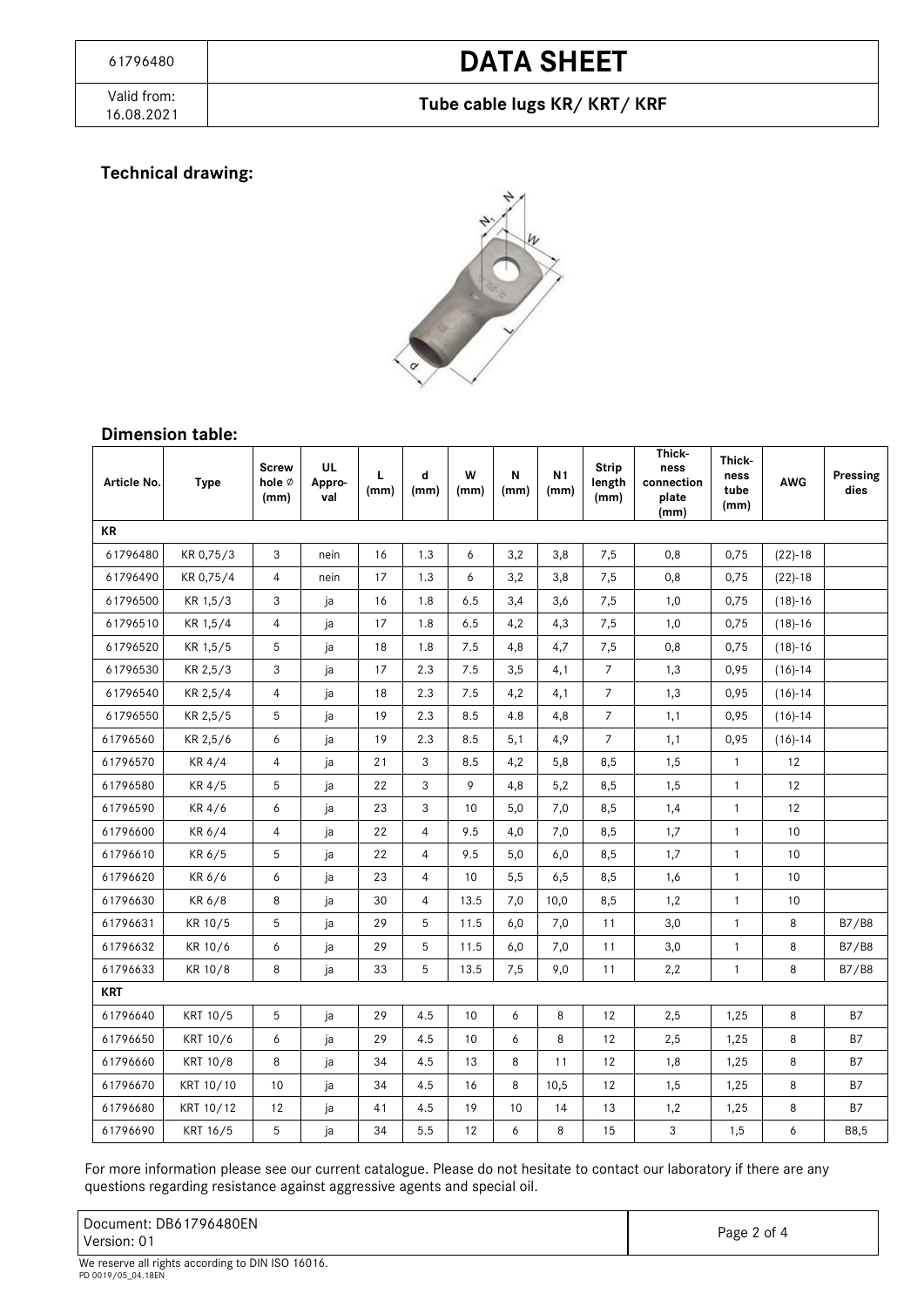#### Tube cable lugs KR/ KRT/ KRF

#### **Technical drawing:**



#### **Dimension table:**

| Article No. | <b>Type</b> | <b>Screw</b><br>hole $\emptyset$<br>(mm) | UL<br>Appro-<br>val | L<br>(mm) | d<br>(mm)      | W<br>(mm) | N<br>(mm) | N <sub>1</sub><br>(mm) | <b>Strip</b><br>length<br>(mm) | Thick-<br>ness<br>connection<br>plate<br>(mm) | Thick-<br>ness<br>tube<br>(mm) | <b>AWG</b> | Pressing<br>dies |
|-------------|-------------|------------------------------------------|---------------------|-----------|----------------|-----------|-----------|------------------------|--------------------------------|-----------------------------------------------|--------------------------------|------------|------------------|
| KR          |             |                                          |                     |           |                |           |           |                        |                                |                                               |                                |            |                  |
| 61796480    | KR 0,75/3   | 3                                        | nein                | 16        | 1.3            | 6         | 3,2       | 3,8                    | 7,5                            | 0,8                                           | 0,75                           | $(22)-18$  |                  |
| 61796490    | KR 0,75/4   | $\overline{4}$                           | nein                | 17        | 1.3            | 6         | 3,2       | 3,8                    | 7,5                            | 0,8                                           | 0,75                           | $(22)-18$  |                  |
| 61796500    | KR 1,5/3    | 3                                        | ja                  | 16        | 1.8            | 6.5       | 3,4       | 3,6                    | 7,5                            | 1,0                                           | 0,75                           | $(18)-16$  |                  |
| 61796510    | KR 1,5/4    | 4                                        | ja                  | 17        | 1.8            | 6.5       | 4,2       | 4,3                    | 7,5                            | 1,0                                           | 0,75                           | $(18)-16$  |                  |
| 61796520    | KR 1,5/5    | 5                                        | ja                  | 18        | 1.8            | 7.5       | 4,8       | 4,7                    | 7,5                            | 0,8                                           | 0,75                           | $(18)-16$  |                  |
| 61796530    | KR 2,5/3    | 3                                        | ja                  | 17        | 2.3            | 7.5       | 3,5       | 4,1                    | $\overline{7}$                 | 1,3                                           | 0,95                           | $(16)-14$  |                  |
| 61796540    | KR 2,5/4    | $\overline{4}$                           | ja                  | 18        | 2.3            | 7.5       | 4,2       | 4,1                    | $\overline{7}$                 | 1,3                                           | 0,95                           | $(16)-14$  |                  |
| 61796550    | KR 2,5/5    | 5                                        | ja                  | 19        | 2.3            | 8.5       | 4.8       | 4,8                    | $\overline{7}$                 | 1,1                                           | 0,95                           | $(16)-14$  |                  |
| 61796560    | KR 2,5/6    | 6                                        | ja                  | 19        | 2.3            | 8.5       | 5,1       | 4,9                    | $\overline{7}$                 | 1,1                                           | 0,95                           | $(16)-14$  |                  |
| 61796570    | KR 4/4      | $\overline{4}$                           | ja                  | 21        | 3              | 8.5       | 4,2       | 5,8                    | 8,5                            | 1,5                                           | $\mathbf{1}$                   | 12         |                  |
| 61796580    | KR 4/5      | 5                                        | ja                  | 22        | 3              | 9         | 4,8       | 5,2                    | 8,5                            | 1,5                                           | $\mathbf{1}$                   | 12         |                  |
| 61796590    | KR 4/6      | 6                                        | ja                  | 23        | 3              | 10        | 5,0       | 7,0                    | 8,5                            | 1,4                                           | $\mathbf{1}$                   | 12         |                  |
| 61796600    | KR 6/4      | 4                                        | ja                  | 22        | 4              | 9.5       | 4,0       | 7,0                    | 8,5                            | 1,7                                           | $\mathbf{1}$                   | 10         |                  |
| 61796610    | KR 6/5      | 5                                        | ja                  | 22        | $\overline{4}$ | 9.5       | 5,0       | 6,0                    | 8,5                            | 1,7                                           | $\mathbf{1}$                   | 10         |                  |
| 61796620    | KR 6/6      | 6                                        | ja                  | 23        | 4              | 10        | 5,5       | 6,5                    | 8,5                            | 1,6                                           | $\mathbf{1}$                   | 10         |                  |
| 61796630    | KR 6/8      | 8                                        | ja                  | 30        | $\overline{4}$ | 13.5      | 7,0       | 10,0                   | 8,5                            | 1,2                                           | $\mathbf{1}$                   | 10         |                  |
| 61796631    | KR 10/5     | 5                                        | ja                  | 29        | 5              | 11.5      | 6,0       | 7,0                    | 11                             | 3,0                                           | $\mathbf{1}$                   | 8          | B7/B8            |
| 61796632    | KR 10/6     | 6                                        | ja                  | 29        | 5              | 11.5      | 6,0       | 7,0                    | 11                             | 3,0                                           | $\mathbf{1}$                   | 8          | B7/B8            |
| 61796633    | KR 10/8     | 8                                        | ja                  | 33        | 5              | 13.5      | 7,5       | 9,0                    | 11                             | 2,2                                           | $\mathbf{1}$                   | 8          | B7/B8            |
| <b>KRT</b>  |             |                                          |                     |           |                |           |           |                        |                                |                                               |                                |            |                  |
| 61796640    | KRT 10/5    | 5                                        | ja                  | 29        | 4.5            | 10        | 6         | 8                      | 12                             | 2,5                                           | 1,25                           | 8          | <b>B7</b>        |
| 61796650    | KRT 10/6    | 6                                        | ja                  | 29        | 4.5            | 10        | 6         | 8                      | 12                             | 2,5                                           | 1,25                           | 8          | <b>B7</b>        |
| 61796660    | KRT 10/8    | 8                                        | ja                  | 34        | 4.5            | 13        | 8         | 11                     | 12                             | 1,8                                           | 1,25                           | 8          | <b>B7</b>        |
| 61796670    | KRT 10/10   | 10                                       | ja                  | 34        | 4.5            | 16        | 8         | 10,5                   | 12                             | 1,5                                           | 1,25                           | 8          | B7               |
| 61796680    | KRT 10/12   | 12                                       | ја                  | 41        | 4.5            | 19        | 10        | 14                     | 13                             | 1,2                                           | 1,25                           | 8          | B7               |
| 61796690    | KRT 16/5    | 5                                        | ja                  | 34        | 5.5            | 12        | 6         | 8                      | 15                             | 3                                             | 1,5                            | 6          | B8,5             |

For more information please see our current catalogue. Please do not hesitate to contact our laboratory if there are any questions regarding resistance against aggressive agents and special oil.

Document: DB61796480EN Version: 01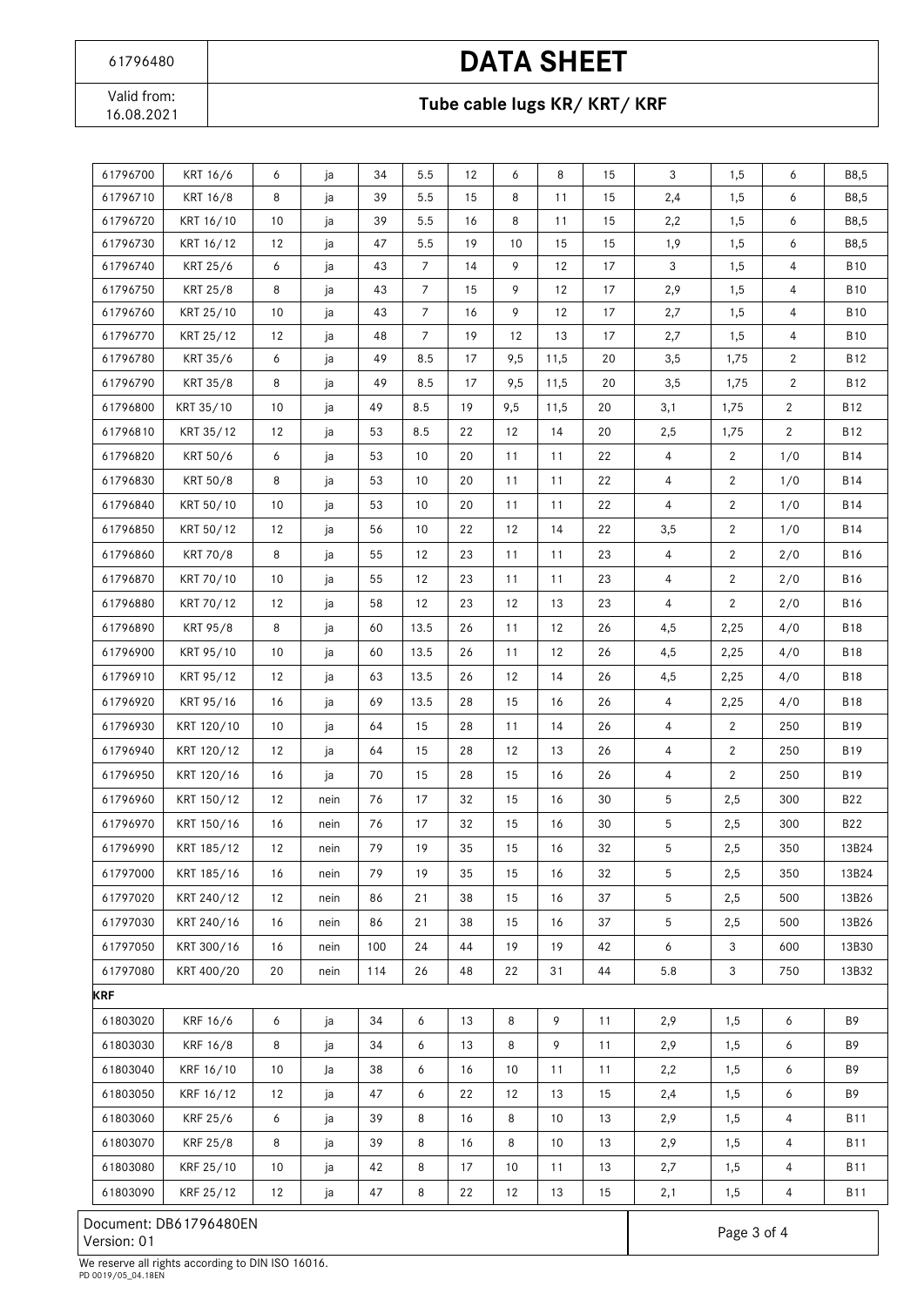Valid from:<br>16.08.2021

### Tube cable lugs KR/ KRT/ KRF